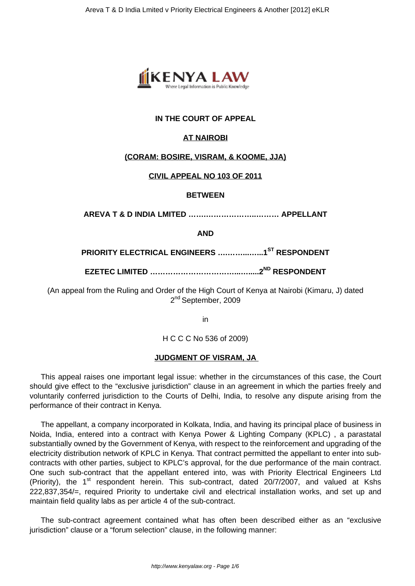

# **IN THE COURT OF APPEAL**

# **AT NAIROBI**

## **(CORAM: BOSIRE, VISRAM, & KOOME, JJA)**

## **CIVIL APPEAL NO 103 OF 2011**

### **BETWEEN**

**AREVA T & D INDIA LMITED …….………………..……… APPELLANT**

**AND**

**PRIORITY ELECTRICAL ENGINEERS ….……...…...1ST RESPONDENT**

**EZETEC LIMITED ……………………………...….....2ND RESPONDENT**

(An appeal from the Ruling and Order of the High Court of Kenya at Nairobi (Kimaru, J) dated 2<sup>nd</sup> September, 2009

in

H C C C No 536 of 2009)

## **JUDGMENT OF VISRAM, JA**

This appeal raises one important legal issue: whether in the circumstances of this case, the Court should give effect to the "exclusive jurisdiction" clause in an agreement in which the parties freely and voluntarily conferred jurisdiction to the Courts of Delhi, India, to resolve any dispute arising from the performance of their contract in Kenya.

The appellant, a company incorporated in Kolkata, India, and having its principal place of business in Noida, India, entered into a contract with Kenya Power & Lighting Company (KPLC) , a parastatal substantially owned by the Government of Kenya, with respect to the reinforcement and upgrading of the electricity distribution network of KPLC in Kenya. That contract permitted the appellant to enter into subcontracts with other parties, subject to KPLC's approval, for the due performance of the main contract. One such sub-contract that the appellant entered into, was with Priority Electrical Engineers Ltd (Priority), the  $1<sup>st</sup>$  respondent herein. This sub-contract, dated 20/7/2007, and valued at Kshs 222,837,354/=, required Priority to undertake civil and electrical installation works, and set up and maintain field quality labs as per article 4 of the sub-contract.

The sub-contract agreement contained what has often been described either as an "exclusive jurisdiction" clause or a "forum selection" clause, in the following manner: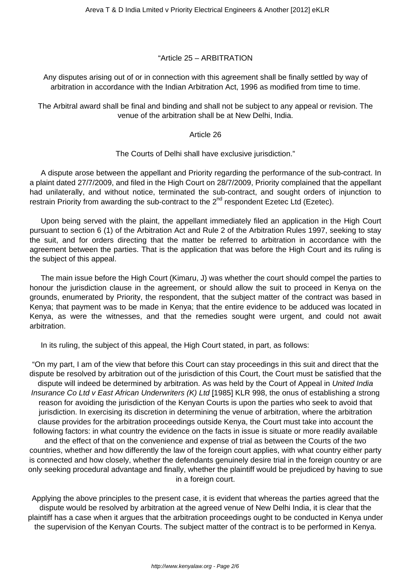### "Article 25 – ARBITRATION

Any disputes arising out of or in connection with this agreement shall be finally settled by way of arbitration in accordance with the Indian Arbitration Act, 1996 as modified from time to time.

The Arbitral award shall be final and binding and shall not be subject to any appeal or revision. The venue of the arbitration shall be at New Delhi, India.

#### Article 26

### The Courts of Delhi shall have exclusive jurisdiction."

A dispute arose between the appellant and Priority regarding the performance of the sub-contract. In a plaint dated 27/7/2009, and filed in the High Court on 28/7/2009, Priority complained that the appellant had unilaterally, and without notice, terminated the sub-contract, and sought orders of injunction to restrain Priority from awarding the sub-contract to the  $2^{nd}$  respondent Ezetec Ltd (Ezetec).

Upon being served with the plaint, the appellant immediately filed an application in the High Court pursuant to section 6 (1) of the Arbitration Act and Rule 2 of the Arbitration Rules 1997, seeking to stay the suit, and for orders directing that the matter be referred to arbitration in accordance with the agreement between the parties. That is the application that was before the High Court and its ruling is the subject of this appeal.

The main issue before the High Court (Kimaru, J) was whether the court should compel the parties to honour the jurisdiction clause in the agreement, or should allow the suit to proceed in Kenya on the grounds, enumerated by Priority, the respondent, that the subject matter of the contract was based in Kenya; that payment was to be made in Kenya; that the entire evidence to be adduced was located in Kenya, as were the witnesses, and that the remedies sought were urgent, and could not await arbitration.

In its ruling, the subject of this appeal, the High Court stated, in part, as follows:

"On my part, I am of the view that before this Court can stay proceedings in this suit and direct that the dispute be resolved by arbitration out of the jurisdiction of this Court, the Court must be satisfied that the dispute will indeed be determined by arbitration. As was held by the Court of Appeal in United India Insurance Co Ltd v East African Underwriters (K) Ltd [1985] KLR 998, the onus of establishing a strong reason for avoiding the jurisdiction of the Kenyan Courts is upon the parties who seek to avoid that jurisdiction. In exercising its discretion in determining the venue of arbitration, where the arbitration clause provides for the arbitration proceedings outside Kenya, the Court must take into account the following factors: in what country the evidence on the facts in issue is situate or more readily available and the effect of that on the convenience and expense of trial as between the Courts of the two countries, whether and how differently the law of the foreign court applies, with what country either party is connected and how closely, whether the defendants genuinely desire trial in the foreign country or are only seeking procedural advantage and finally, whether the plaintiff would be prejudiced by having to sue in a foreign court.

Applying the above principles to the present case, it is evident that whereas the parties agreed that the dispute would be resolved by arbitration at the agreed venue of New Delhi India, it is clear that the plaintiff has a case when it argues that the arbitration proceedings ought to be conducted in Kenya under the supervision of the Kenyan Courts. The subject matter of the contract is to be performed in Kenya.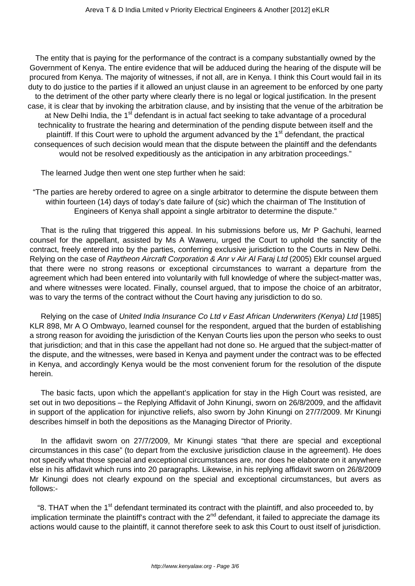The entity that is paying for the performance of the contract is a company substantially owned by the Government of Kenya. The entire evidence that will be adduced during the hearing of the dispute will be procured from Kenya. The majority of witnesses, if not all, are in Kenya. I think this Court would fail in its duty to do justice to the parties if it allowed an unjust clause in an agreement to be enforced by one party to the detriment of the other party where clearly there is no legal or logical justification. In the present case, it is clear that by invoking the arbitration clause, and by insisting that the venue of the arbitration be at New Delhi India, the  $1<sup>st</sup>$  defendant is in actual fact seeking to take advantage of a procedural technicality to frustrate the hearing and determination of the pending dispute between itself and the plaintiff. If this Court were to uphold the argument advanced by the 1<sup>st</sup> defendant, the practical consequences of such decision would mean that the dispute between the plaintiff and the defendants would not be resolved expeditiously as the anticipation in any arbitration proceedings."

The learned Judge then went one step further when he said:

"The parties are hereby ordered to agree on a single arbitrator to determine the dispute between them within fourteen (14) days of today's date failure of (sic) which the chairman of The Institution of Engineers of Kenya shall appoint a single arbitrator to determine the dispute."

That is the ruling that triggered this appeal. In his submissions before us, Mr P Gachuhi, learned counsel for the appellant, assisted by Ms A Waweru, urged the Court to uphold the sanctity of the contract, freely entered into by the parties, conferring exclusive jurisdiction to the Courts in New Delhi. Relying on the case of Raytheon Aircraft Corporation & Anr v Air Al Faraj Ltd (2005) Eklr counsel argued that there were no strong reasons or exceptional circumstances to warrant a departure from the agreement which had been entered into voluntarily with full knowledge of where the subject-matter was, and where witnesses were located. Finally, counsel argued, that to impose the choice of an arbitrator, was to vary the terms of the contract without the Court having any jurisdiction to do so.

Relying on the case of United India Insurance Co Ltd v East African Underwriters (Kenya) Ltd [1985] KLR 898, Mr A O Ombwayo, learned counsel for the respondent, argued that the burden of establishing a strong reason for avoiding the jurisdiction of the Kenyan Courts lies upon the person who seeks to oust that jurisdiction; and that in this case the appellant had not done so. He argued that the subject-matter of the dispute, and the witnesses, were based in Kenya and payment under the contract was to be effected in Kenya, and accordingly Kenya would be the most convenient forum for the resolution of the dispute herein.

The basic facts, upon which the appellant's application for stay in the High Court was resisted, are set out in two depositions – the Replying Affidavit of John Kinungi, sworn on 26/8/2009, and the affidavit in support of the application for injunctive reliefs, also sworn by John Kinungi on 27/7/2009. Mr Kinungi describes himself in both the depositions as the Managing Director of Priority.

In the affidavit sworn on 27/7/2009, Mr Kinungi states "that there are special and exceptional circumstances in this case" (to depart from the exclusive jurisdiction clause in the agreement). He does not specify what those special and exceptional circumstances are, nor does he elaborate on it anywhere else in his affidavit which runs into 20 paragraphs. Likewise, in his replying affidavit sworn on 26/8/2009 Mr Kinungi does not clearly expound on the special and exceptional circumstances, but avers as follows:-

"8. THAT when the 1<sup>st</sup> defendant terminated its contract with the plaintiff, and also proceeded to, by implication terminate the plaintiff's contract with the  $2<sup>nd</sup>$  defendant, it failed to appreciate the damage its actions would cause to the plaintiff, it cannot therefore seek to ask this Court to oust itself of jurisdiction.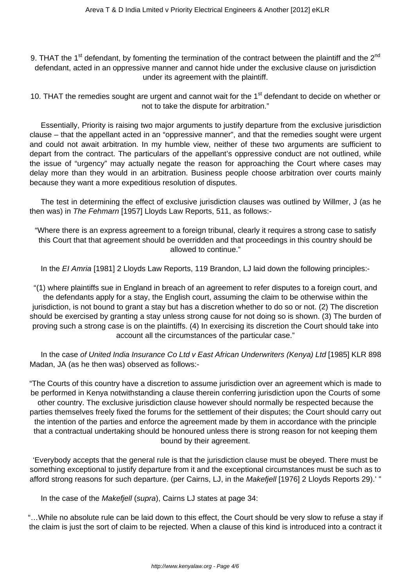9. THAT the 1<sup>st</sup> defendant, by fomenting the termination of the contract between the plaintiff and the 2<sup>nd</sup> defendant, acted in an oppressive manner and cannot hide under the exclusive clause on jurisdiction under its agreement with the plaintiff.

10. THAT the remedies sought are urgent and cannot wait for the 1<sup>st</sup> defendant to decide on whether or not to take the dispute for arbitration."

Essentially, Priority is raising two major arguments to justify departure from the exclusive jurisdiction clause – that the appellant acted in an "oppressive manner", and that the remedies sought were urgent and could not await arbitration. In my humble view, neither of these two arguments are sufficient to depart from the contract. The particulars of the appellant's oppressive conduct are not outlined, while the issue of "urgency" may actually negate the reason for approaching the Court where cases may delay more than they would in an arbitration. Business people choose arbitration over courts mainly because they want a more expeditious resolution of disputes.

The test in determining the effect of exclusive jurisdiction clauses was outlined by Willmer, J (as he then was) in The Fehmarn [1957] Lloyds Law Reports, 511, as follows:-

"Where there is an express agreement to a foreign tribunal, clearly it requires a strong case to satisfy this Court that that agreement should be overridden and that proceedings in this country should be allowed to continue."

In the EI Amria [1981] 2 Lloyds Law Reports, 119 Brandon, LJ laid down the following principles:-

"(1) where plaintiffs sue in England in breach of an agreement to refer disputes to a foreign court, and the defendants apply for a stay, the English court, assuming the claim to be otherwise within the jurisdiction, is not bound to grant a stay but has a discretion whether to do so or not. (2) The discretion should be exercised by granting a stay unless strong cause for not doing so is shown. (3) The burden of proving such a strong case is on the plaintiffs. (4) In exercising its discretion the Court should take into account all the circumstances of the particular case."

In the case of United India Insurance Co Ltd v East African Underwriters (Kenya) Ltd [1985] KLR 898 Madan, JA (as he then was) observed as follows:-

"The Courts of this country have a discretion to assume jurisdiction over an agreement which is made to be performed in Kenya notwithstanding a clause therein conferring jurisdiction upon the Courts of some other country. The exclusive jurisdiction clause however should normally be respected because the parties themselves freely fixed the forums for the settlement of their disputes; the Court should carry out the intention of the parties and enforce the agreement made by them in accordance with the principle that a contractual undertaking should be honoured unless there is strong reason for not keeping them bound by their agreement.

'Everybody accepts that the general rule is that the jurisdiction clause must be obeyed. There must be something exceptional to justify departure from it and the exceptional circumstances must be such as to afford strong reasons for such departure. (per Cairns, LJ, in the Makefjell [1976] 2 Lloyds Reports 29).' "

In the case of the Makefjell (supra), Cairns LJ states at page 34:

"…While no absolute rule can be laid down to this effect, the Court should be very slow to refuse a stay if the claim is just the sort of claim to be rejected. When a clause of this kind is introduced into a contract it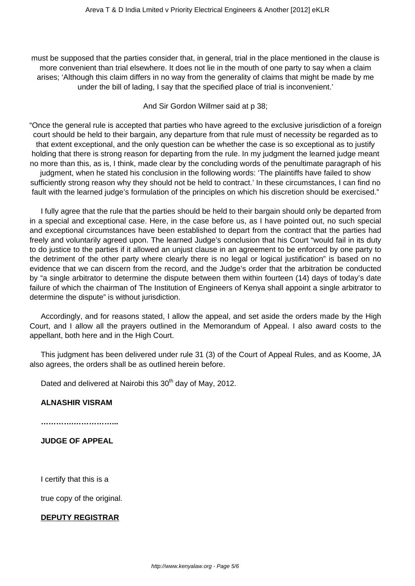must be supposed that the parties consider that, in general, trial in the place mentioned in the clause is more convenient than trial elsewhere. It does not lie in the mouth of one party to say when a claim arises; 'Although this claim differs in no way from the generality of claims that might be made by me under the bill of lading, I say that the specified place of trial is inconvenient.'

And Sir Gordon Willmer said at p 38;

"Once the general rule is accepted that parties who have agreed to the exclusive jurisdiction of a foreign court should be held to their bargain, any departure from that rule must of necessity be regarded as to that extent exceptional, and the only question can be whether the case is so exceptional as to justify holding that there is strong reason for departing from the rule. In my judgment the learned judge meant no more than this, as is, I think, made clear by the concluding words of the penultimate paragraph of his judgment, when he stated his conclusion in the following words: 'The plaintiffs have failed to show sufficiently strong reason why they should not be held to contract.' In these circumstances, I can find no fault with the learned judge's formulation of the principles on which his discretion should be exercised."

I fully agree that the rule that the parties should be held to their bargain should only be departed from in a special and exceptional case. Here, in the case before us, as I have pointed out, no such special and exceptional circumstances have been established to depart from the contract that the parties had freely and voluntarily agreed upon. The learned Judge's conclusion that his Court "would fail in its duty to do justice to the parties if it allowed an unjust clause in an agreement to be enforced by one party to the detriment of the other party where clearly there is no legal or logical justification" is based on no evidence that we can discern from the record, and the Judge's order that the arbitration be conducted by "a single arbitrator to determine the dispute between them within fourteen (14) days of today's date failure of which the chairman of The Institution of Engineers of Kenya shall appoint a single arbitrator to determine the dispute" is without jurisdiction.

Accordingly, and for reasons stated, I allow the appeal, and set aside the orders made by the High Court, and I allow all the prayers outlined in the Memorandum of Appeal. I also award costs to the appellant, both here and in the High Court.

This judgment has been delivered under rule 31 (3) of the Court of Appeal Rules, and as Koome, JA also agrees, the orders shall be as outlined herein before.

Dated and delivered at Nairobi this 30<sup>th</sup> day of May, 2012.

## **ALNASHIR VISRAM**

**………….……………...**

**JUDGE OF APPEAL**

I certify that this is a

true copy of the original.

# **DEPUTY REGISTRAR**